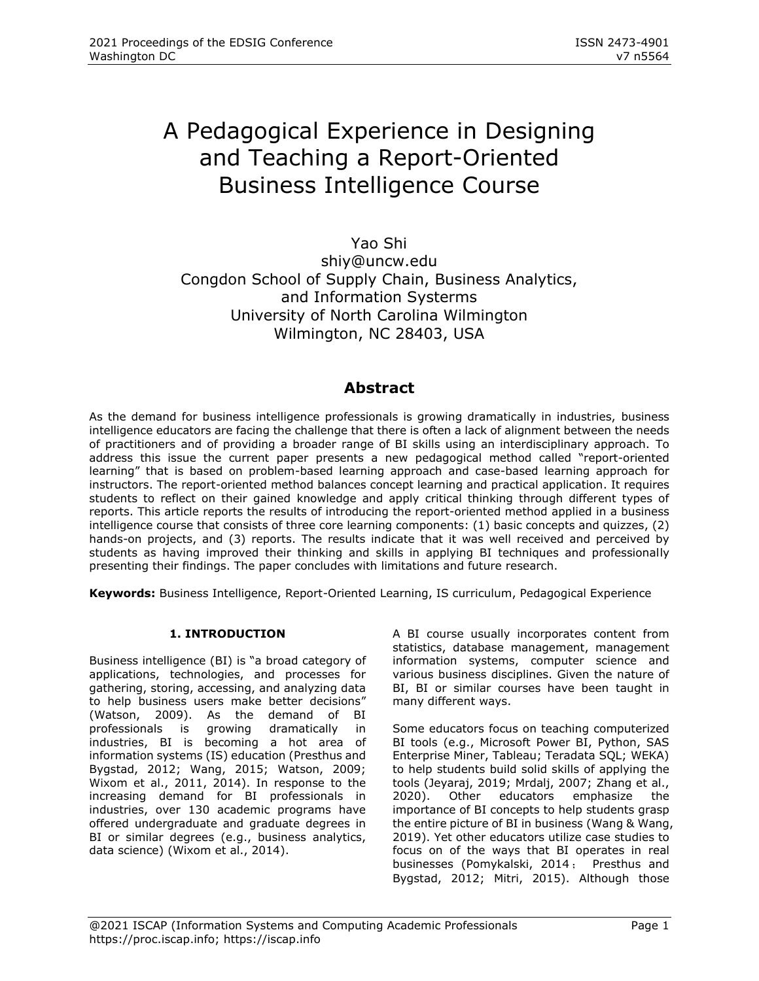# A Pedagogical Experience in Designing and Teaching a Report-Oriented Business Intelligence Course

Yao Shi [shiy@uncw.edu](mailto:shiy@uncw.edu) Congdon School of Supply Chain, Business Analytics, and Information Systerms University of North Carolina Wilmington Wilmington, NC 28403, USA

# **Abstract**

As the demand for business intelligence professionals is growing dramatically in industries, business intelligence educators are facing the challenge that there is often a lack of alignment between the needs of practitioners and of providing a broader range of BI skills using an interdisciplinary approach. To address this issue the current paper presents a new pedagogical method called "report-oriented learning" that is based on problem-based learning approach and case-based learning approach for instructors. The report-oriented method balances concept learning and practical application. It requires students to reflect on their gained knowledge and apply critical thinking through different types of reports. This article reports the results of introducing the report-oriented method applied in a business intelligence course that consists of three core learning components: (1) basic concepts and quizzes, (2) hands-on projects, and (3) reports. The results indicate that it was well received and perceived by students as having improved their thinking and skills in applying BI techniques and professionally presenting their findings. The paper concludes with limitations and future research.

**Keywords:** Business Intelligence, Report-Oriented Learning, IS curriculum, Pedagogical Experience

# **1. INTRODUCTION**

Business intelligence (BI) is "a broad category of applications, technologies, and processes for gathering, storing, accessing, and analyzing data to help business users make better decisions" (Watson, 2009). As the demand of BI professionals is growing dramatically in industries, BI is becoming a hot area of information systems (IS) education (Presthus and Bygstad, 2012; Wang, 2015; Watson, 2009; Wixom et al., 2011, 2014). In response to the increasing demand for BI professionals in industries, over 130 academic programs have offered undergraduate and graduate degrees in BI or similar degrees (e.g., business analytics, data science) (Wixom et al., 2014).

A BI course usually incorporates content from statistics, database management, management information systems, computer science and various business disciplines. Given the nature of BI, BI or similar courses have been taught in many different ways.

Some educators focus on teaching computerized BI tools (e.g., Microsoft Power BI, Python, SAS Enterprise Miner, Tableau; Teradata SQL; WEKA) to help students build solid skills of applying the tools (Jeyaraj, 2019; Mrdalj, 2007; Zhang et al., 2020). Other educators emphasize the importance of BI concepts to help students grasp the entire picture of BI in business (Wang & Wang, 2019). Yet other educators utilize case studies to focus on of the ways that BI operates in real businesses (Pomykalski, 2014 ; Presthus and Bygstad, 2012; Mitri, 2015). Although those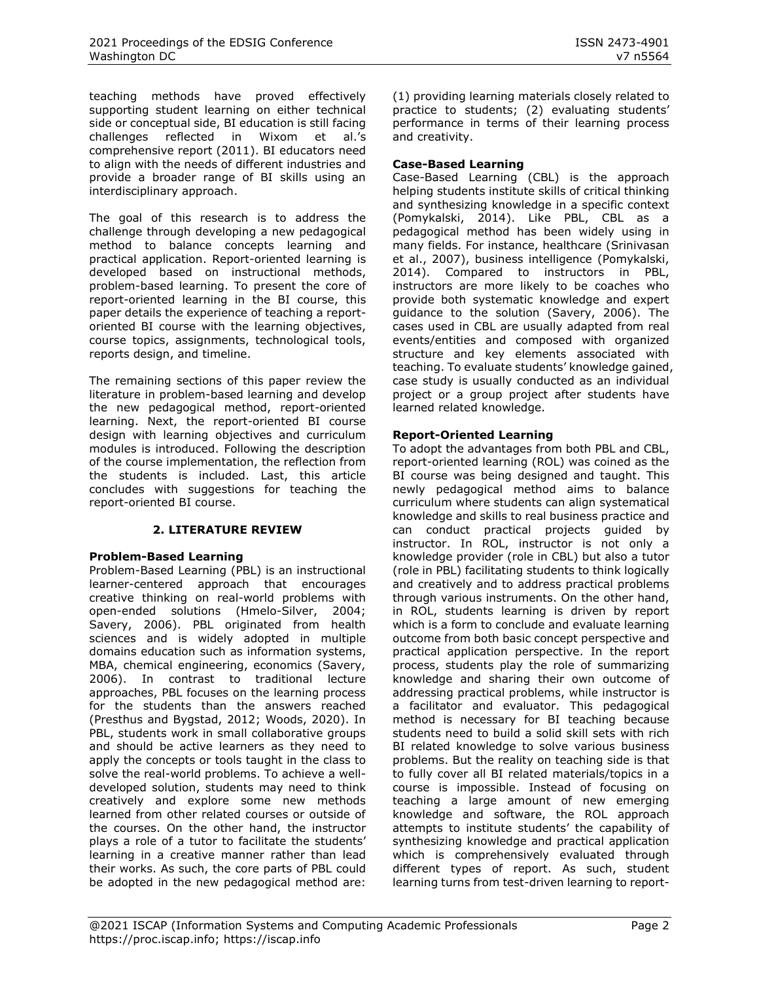teaching methods have proved effectively supporting student learning on either technical side or conceptual side, BI education is still facing challenges reflected in Wixom et al.'s comprehensive report (2011). BI educators need to align with the needs of different industries and provide a broader range of BI skills using an interdisciplinary approach.

The goal of this research is to address the challenge through developing a new pedagogical method to balance concepts learning and practical application. Report-oriented learning is developed based on instructional methods, problem-based learning. To present the core of report-oriented learning in the BI course, this paper details the experience of teaching a reportoriented BI course with the learning objectives, course topics, assignments, technological tools, reports design, and timeline.

The remaining sections of this paper review the literature in problem-based learning and develop the new pedagogical method, report-oriented learning. Next, the report-oriented BI course design with learning objectives and curriculum modules is introduced. Following the description of the course implementation, the reflection from the students is included. Last, this article concludes with suggestions for teaching the report-oriented BI course.

#### **2. LITERATURE REVIEW**

#### **Problem-Based Learning**

Problem-Based Learning (PBL) is an instructional learner-centered approach that encourages creative thinking on real-world problems with open-ended solutions (Hmelo-Silver, 2004; Savery, 2006). PBL originated from health sciences and is widely adopted in multiple domains education such as information systems, MBA, chemical engineering, economics (Savery, 2006). In contrast to traditional lecture approaches, PBL focuses on the learning process for the students than the answers reached (Presthus and Bygstad, 2012; Woods, 2020). In PBL, students work in small collaborative groups and should be active learners as they need to apply the concepts or tools taught in the class to solve the real-world problems. To achieve a welldeveloped solution, students may need to think creatively and explore some new methods learned from other related courses or outside of the courses. On the other hand, the instructor plays a role of a tutor to facilitate the students' learning in a creative manner rather than lead their works. As such, the core parts of PBL could be adopted in the new pedagogical method are:

(1) providing learning materials closely related to practice to students; (2) evaluating students' performance in terms of their learning process and creativity.

# **Case-Based Learning**

Case-Based Learning (CBL) is the approach helping students institute skills of critical thinking and synthesizing knowledge in a specific context (Pomykalski, 2014). Like PBL, CBL as a pedagogical method has been widely using in many fields. For instance, healthcare (Srinivasan et al., 2007), business intelligence (Pomykalski, 2014). Compared to instructors in PBL, instructors are more likely to be coaches who provide both systematic knowledge and expert guidance to the solution (Savery, 2006). The cases used in CBL are usually adapted from real events/entities and composed with organized structure and key elements associated with teaching. To evaluate students' knowledge gained, case study is usually conducted as an individual project or a group project after students have learned related knowledge.

# **Report-Oriented Learning**

To adopt the advantages from both PBL and CBL, report-oriented learning (ROL) was coined as the BI course was being designed and taught. This newly pedagogical method aims to balance curriculum where students can align systematical knowledge and skills to real business practice and can conduct practical projects guided by instructor. In ROL, instructor is not only a knowledge provider (role in CBL) but also a tutor (role in PBL) facilitating students to think logically and creatively and to address practical problems through various instruments. On the other hand, in ROL, students learning is driven by report which is a form to conclude and evaluate learning outcome from both basic concept perspective and practical application perspective. In the report process, students play the role of summarizing knowledge and sharing their own outcome of addressing practical problems, while instructor is a facilitator and evaluator. This pedagogical method is necessary for BI teaching because students need to build a solid skill sets with rich BI related knowledge to solve various business problems. But the reality on teaching side is that to fully cover all BI related materials/topics in a course is impossible. Instead of focusing on teaching a large amount of new emerging knowledge and software, the ROL approach attempts to institute students' the capability of synthesizing knowledge and practical application which is comprehensively evaluated through different types of report. As such, student learning turns from test-driven learning to report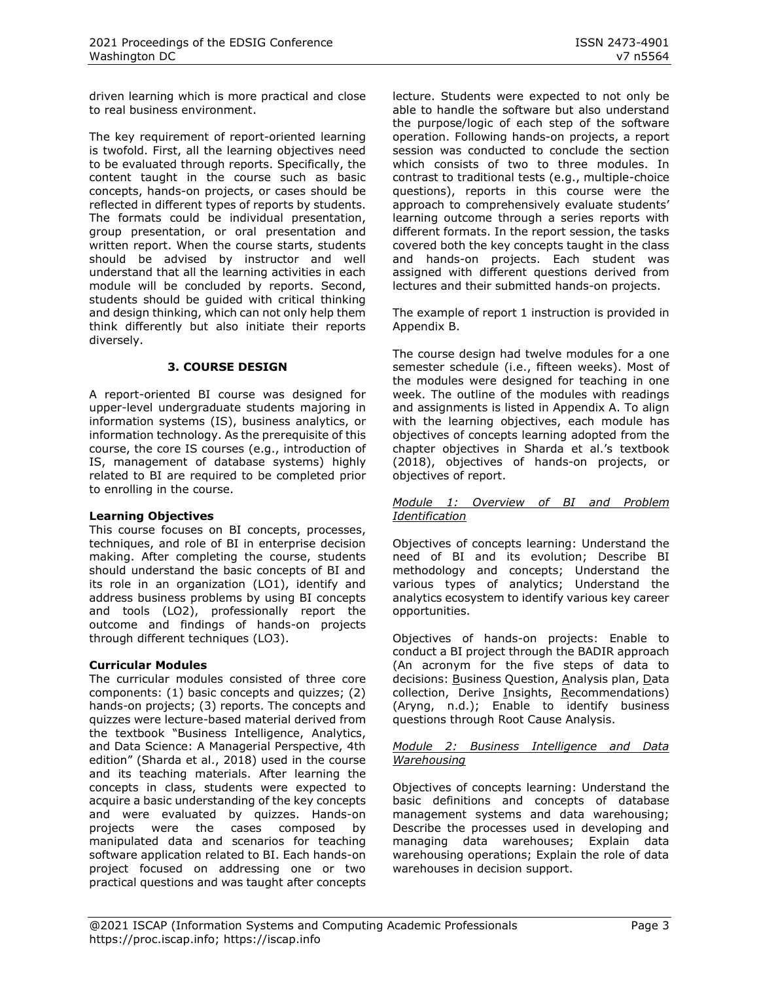driven learning which is more practical and close to real business environment.

The key requirement of report-oriented learning is twofold. First, all the learning objectives need to be evaluated through reports. Specifically, the content taught in the course such as basic concepts, hands-on projects, or cases should be reflected in different types of reports by students. The formats could be individual presentation, group presentation, or oral presentation and written report. When the course starts, students should be advised by instructor and well understand that all the learning activities in each module will be concluded by reports. Second, students should be guided with critical thinking and design thinking, which can not only help them think differently but also initiate their reports diversely.

# **3. COURSE DESIGN**

A report-oriented BI course was designed for upper-level undergraduate students majoring in information systems (IS), business analytics, or information technology. As the prerequisite of this course, the core IS courses (e.g., introduction of IS, management of database systems) highly related to BI are required to be completed prior to enrolling in the course.

#### **Learning Objectives**

This course focuses on BI concepts, processes, techniques, and role of BI in enterprise decision making. After completing the course, students should understand the basic concepts of BI and its role in an organization (LO1), identify and address business problems by using BI concepts and tools (LO2), professionally report the outcome and findings of hands-on projects through different techniques (LO3).

# **Curricular Modules**

The curricular modules consisted of three core components: (1) basic concepts and quizzes; (2) hands-on projects; (3) reports. The concepts and quizzes were lecture-based material derived from the textbook "Business Intelligence, Analytics, and Data Science: A Managerial Perspective, 4th edition" (Sharda et al., 2018) used in the course and its teaching materials. After learning the concepts in class, students were expected to acquire a basic understanding of the key concepts and were evaluated by quizzes. Hands-on projects were the cases composed by manipulated data and scenarios for teaching software application related to BI. Each hands-on project focused on addressing one or two practical questions and was taught after concepts

lecture. Students were expected to not only be able to handle the software but also understand the purpose/logic of each step of the software operation. Following hands-on projects, a report session was conducted to conclude the section which consists of two to three modules. In contrast to traditional tests (e.g., multiple-choice questions), reports in this course were the approach to comprehensively evaluate students' learning outcome through a series reports with different formats. In the report session, the tasks covered both the key concepts taught in the class and hands-on projects. Each student was assigned with different questions derived from lectures and their submitted hands-on projects.

The example of report 1 instruction is provided in Appendix B.

The course design had twelve modules for a one semester schedule (i.e., fifteen weeks). Most of the modules were designed for teaching in one week. The outline of the modules with readings and assignments is listed in Appendix A. To align with the learning objectives, each module has objectives of concepts learning adopted from the chapter objectives in Sharda et al.'s textbook (2018), objectives of hands-on projects, or objectives of report.

#### *Module 1: Overview of BI and Problem Identification*

Objectives of concepts learning: Understand the need of BI and its evolution; Describe BI methodology and concepts; Understand the various types of analytics; Understand the analytics ecosystem to identify various key career opportunities.

Objectives of hands-on projects: Enable to conduct a BI project through the BADIR approach (An acronym for the five steps of data to decisions: Business Question, Analysis plan, Data collection, Derive Insights, Recommendations) (Aryng, n.d.); Enable to identify business questions through Root Cause Analysis.

#### *Module 2: Business Intelligence and Data Warehousing*

Objectives of concepts learning: Understand the basic definitions and concepts of database management systems and data warehousing; Describe the processes used in developing and managing data warehouses; Explain data warehousing operations; Explain the role of data warehouses in decision support.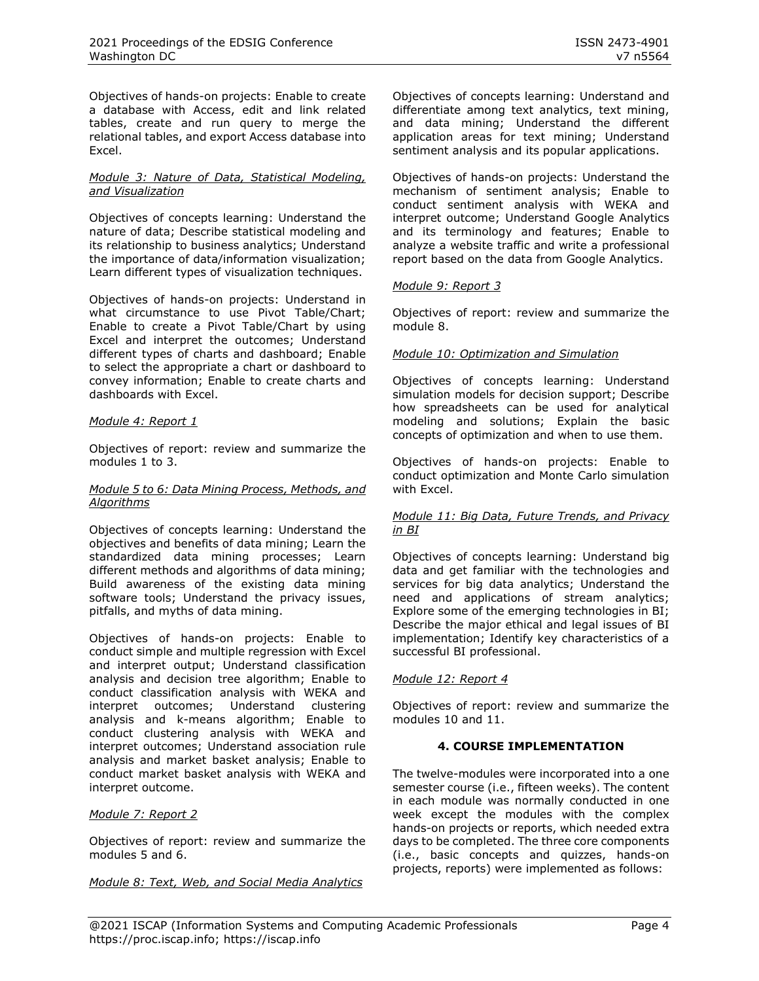Objectives of hands-on projects: Enable to create a database with Access, edit and link related tables, create and run query to merge the relational tables, and export Access database into Excel.

#### *Module 3: Nature of Data, Statistical Modeling, and Visualization*

Objectives of concepts learning: Understand the nature of data; Describe statistical modeling and its relationship to business analytics; Understand the importance of data/information visualization; Learn different types of visualization techniques.

Objectives of hands-on projects: Understand in what circumstance to use Pivot Table/Chart; Enable to create a Pivot Table/Chart by using Excel and interpret the outcomes; Understand different types of charts and dashboard; Enable to select the appropriate a chart or dashboard to convey information; Enable to create charts and dashboards with Excel.

# *Module 4: Report 1*

Objectives of report: review and summarize the modules 1 to 3.

#### *Module 5 to 6: Data Mining Process, Methods, and Algorithms*

Objectives of concepts learning: Understand the objectives and benefits of data mining; Learn the standardized data mining processes; Learn different methods and algorithms of data mining; Build awareness of the existing data mining software tools; Understand the privacy issues, pitfalls, and myths of data mining.

Objectives of hands-on projects: Enable to conduct simple and multiple regression with Excel and interpret output; Understand classification analysis and decision tree algorithm; Enable to conduct classification analysis with WEKA and interpret outcomes; Understand clustering analysis and k-means algorithm; Enable to conduct clustering analysis with WEKA and interpret outcomes; Understand association rule analysis and market basket analysis; Enable to conduct market basket analysis with WEKA and interpret outcome.

# *Module 7: Report 2*

Objectives of report: review and summarize the modules 5 and 6.

*Module 8: Text, Web, and Social Media Analytics* 

Objectives of concepts learning: Understand and differentiate among text analytics, text mining, and data mining; Understand the different application areas for text mining; Understand sentiment analysis and its popular applications.

Objectives of hands-on projects: Understand the mechanism of sentiment analysis; Enable to conduct sentiment analysis with WEKA and interpret outcome; Understand Google Analytics and its terminology and features; Enable to analyze a website traffic and write a professional report based on the data from Google Analytics.

#### *Module 9: Report 3*

Objectives of report: review and summarize the module 8.

# *Module 10: Optimization and Simulation*

Objectives of concepts learning: Understand simulation models for decision support; Describe how spreadsheets can be used for analytical modeling and solutions; Explain the basic concepts of optimization and when to use them.

Objectives of hands-on projects: Enable to conduct optimization and Monte Carlo simulation with Excel.

#### *Module 11: Big Data, Future Trends, and Privacy in BI*

Objectives of concepts learning: Understand big data and get familiar with the technologies and services for big data analytics; Understand the need and applications of stream analytics; Explore some of the emerging technologies in BI; Describe the major ethical and legal issues of BI implementation; Identify key characteristics of a successful BI professional.

#### *Module 12: Report 4*

Objectives of report: review and summarize the modules 10 and 11.

#### **4. COURSE IMPLEMENTATION**

The twelve-modules were incorporated into a one semester course (i.e., fifteen weeks). The content in each module was normally conducted in one week except the modules with the complex hands-on projects or reports, which needed extra days to be completed. The three core components (i.e., basic concepts and quizzes, hands-on projects, reports) were implemented as follows: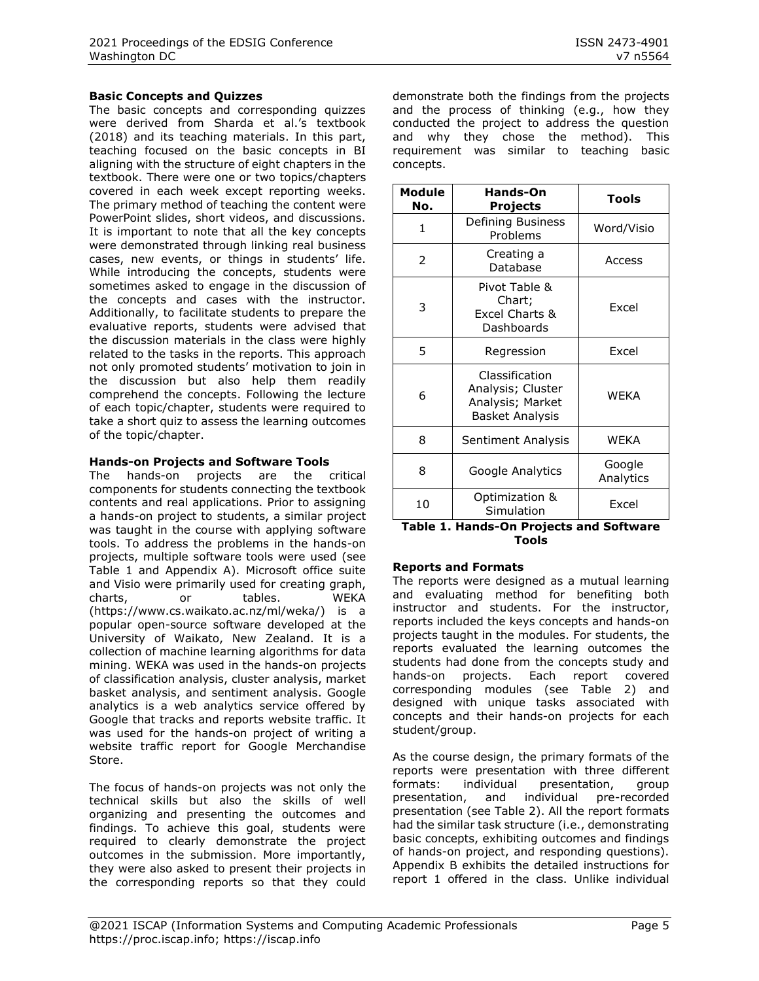#### **Basic Concepts and Quizzes**

The basic concepts and corresponding quizzes were derived from Sharda et al.'s textbook (2018) and its teaching materials. In this part, teaching focused on the basic concepts in BI aligning with the structure of eight chapters in the textbook. There were one or two topics/chapters covered in each week except reporting weeks. The primary method of teaching the content were PowerPoint slides, short videos, and discussions. It is important to note that all the key concepts were demonstrated through linking real business cases, new events, or things in students' life. While introducing the concepts, students were sometimes asked to engage in the discussion of the concepts and cases with the instructor. Additionally, to facilitate students to prepare the evaluative reports, students were advised that the discussion materials in the class were highly related to the tasks in the reports. This approach not only promoted students' motivation to join in the discussion but also help them readily comprehend the concepts. Following the lecture of each topic/chapter, students were required to take a short quiz to assess the learning outcomes of the topic/chapter.

#### **Hands-on Projects and Software Tools**

The hands-on projects are the critical components for students connecting the textbook contents and real applications. Prior to assigning a hands-on project to students, a similar project was taught in the course with applying software tools. To address the problems in the hands-on projects, multiple software tools were used (see [Table 1](#page-4-0) and Appendix A). Microsoft office suite and Visio were primarily used for creating graph, charts, or tables. WEKA (https://www.cs.waikato.ac.nz/ml/weka/) is a popular open-source software developed at the University of Waikato, New Zealand. It is a collection of machine learning algorithms for data mining. WEKA was used in the hands-on projects of classification analysis, cluster analysis, market basket analysis, and sentiment analysis. Google analytics is a web analytics service offered by Google that tracks and reports website traffic. It was used for the hands-on project of writing a website traffic report for Google Merchandise Store.

The focus of hands-on projects was not only the technical skills but also the skills of well organizing and presenting the outcomes and findings. To achieve this goal, students were required to clearly demonstrate the project outcomes in the submission. More importantly, they were also asked to present their projects in the corresponding reports so that they could demonstrate both the findings from the projects and the process of thinking (e.g., how they conducted the project to address the question and why they chose the method). This requirement was similar to teaching basic concepts.

| <b>Module</b><br>No.               | <b>Hands-On</b><br>Projects                                                | <b>Tools</b> |  |
|------------------------------------|----------------------------------------------------------------------------|--------------|--|
| 1                                  | Defining Business<br>Problems                                              | Word/Visio   |  |
| $\overline{2}$                     | Creating a<br>Database                                                     | Access       |  |
| 3                                  | Pivot Table &<br>Chart;<br>Excel<br>Excel Charts &<br>Dashboards           |              |  |
| 5                                  | Regression                                                                 | <b>Fxcel</b> |  |
| 6                                  | Classification<br>Analysis; Cluster<br>Analysis; Market<br>Basket Analysis | <b>WEKA</b>  |  |
| 8                                  | Sentiment Analysis                                                         | <b>WEKA</b>  |  |
| 8                                  | Google<br>Google Analytics<br>Analytics                                    |              |  |
| Optimization &<br>10<br>Simulation |                                                                            | Excel        |  |

#### <span id="page-4-0"></span>**Table 1. Hands-On Projects and Software Tools**

#### **Reports and Formats**

The reports were designed as a mutual learning and evaluating method for benefiting both instructor and students. For the instructor, reports included the keys concepts and hands-on projects taught in the modules. For students, the reports evaluated the learning outcomes the students had done from the concepts study and hands-on projects. Each report covered corresponding modules (see [Table 2\)](#page-5-0) and designed with unique tasks associated with concepts and their hands-on projects for each student/group.

As the course design, the primary formats of the reports were presentation with three different formats: individual presentation, group presentation, and individual pre-recorded presentation (see [Table 2\)](#page-5-0). All the report formats had the similar task structure (i.e., demonstrating basic concepts, exhibiting outcomes and findings of hands-on project, and responding questions). Appendix B exhibits the detailed instructions for report 1 offered in the class. Unlike individual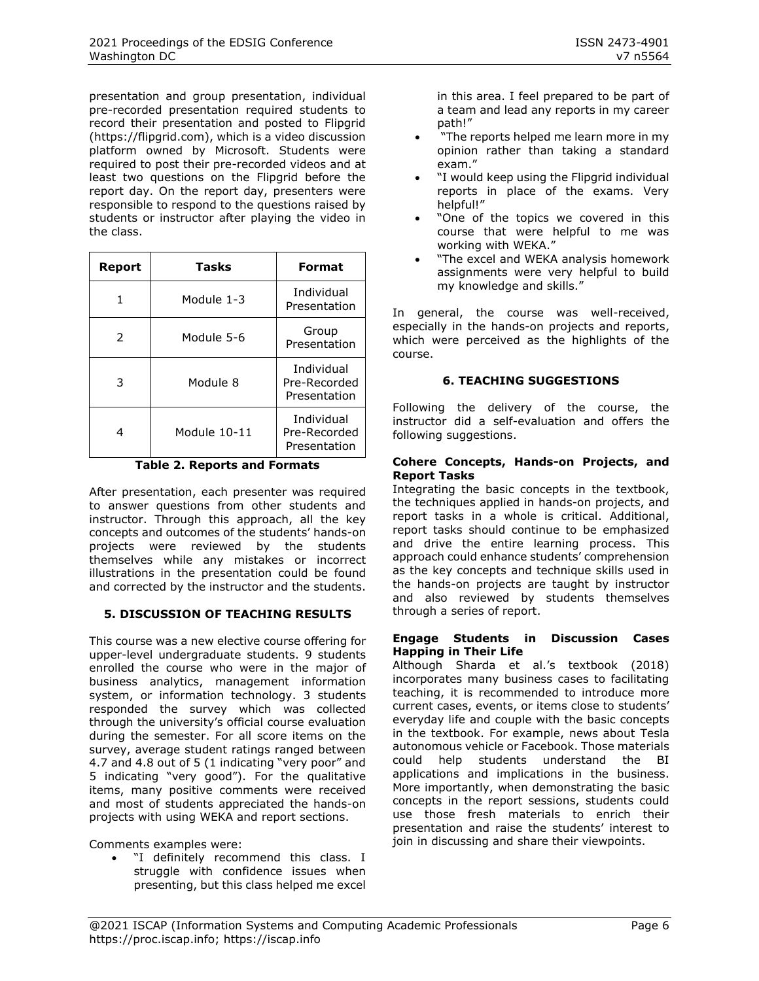presentation and group presentation, individual pre-recorded presentation required students to record their presentation and posted to Flipgrid (https://flipgrid.com), which is a video discussion platform owned by Microsoft. Students were required to post their pre-recorded videos and at least two questions on the Flipgrid before the report day. On the report day, presenters were responsible to respond to the questions raised by students or instructor after playing the video in the class.

| Report        | Tasks        | <b>Format</b>                                     |
|---------------|--------------|---------------------------------------------------|
|               | Module 1-3   | Individual<br>Presentation                        |
| $\mathcal{P}$ | Module 5-6   | Group<br>Presentation                             |
| 3             | Module 8     | <b>Individual</b><br>Pre-Recorded<br>Presentation |
| 4             | Module 10-11 | Individual<br>Pre-Recorded<br>Presentation        |

**Table 2. Reports and Formats**

<span id="page-5-0"></span>After presentation, each presenter was required to answer questions from other students and instructor. Through this approach, all the key concepts and outcomes of the students' hands-on projects were reviewed by the students themselves while any mistakes or incorrect illustrations in the presentation could be found and corrected by the instructor and the students.

# **5. DISCUSSION OF TEACHING RESULTS**

This course was a new elective course offering for upper-level undergraduate students. 9 students enrolled the course who were in the major of business analytics, management information system, or information technology. 3 students responded the survey which was collected through the university's official course evaluation during the semester. For all score items on the survey, average student ratings ranged between 4.7 and 4.8 out of 5 (1 indicating "very poor" and 5 indicating "very good"). For the qualitative items, many positive comments were received and most of students appreciated the hands-on projects with using WEKA and report sections.

Comments examples were:

"I definitely recommend this class. I struggle with confidence issues when presenting, but this class helped me excel

in this area. I feel prepared to be part of a team and lead any reports in my career path!"

- "The reports helped me learn more in my opinion rather than taking a standard exam."
- "I would keep using the Flipgrid individual reports in place of the exams. Very helpful!"
- "One of the topics we covered in this course that were helpful to me was working with WEKA."
- "The excel and WEKA analysis homework assignments were very helpful to build my knowledge and skills."

In general, the course was well-received, especially in the hands-on projects and reports, which were perceived as the highlights of the course.

# **6. TEACHING SUGGESTIONS**

Following the delivery of the course, the instructor did a self-evaluation and offers the following suggestions.

#### **Cohere Concepts, Hands-on Projects, and Report Tasks**

Integrating the basic concepts in the textbook, the techniques applied in hands-on projects, and report tasks in a whole is critical. Additional, report tasks should continue to be emphasized and drive the entire learning process. This approach could enhance students' comprehension as the key concepts and technique skills used in the hands-on projects are taught by instructor and also reviewed by students themselves through a series of report.

#### **Engage Students in Discussion Cases Happing in Their Life**

Although Sharda et al.'s textbook (2018) incorporates many business cases to facilitating teaching, it is recommended to introduce more current cases, events, or items close to students' everyday life and couple with the basic concepts in the textbook. For example, news about Tesla autonomous vehicle or Facebook. Those materials could help students understand the BI applications and implications in the business. More importantly, when demonstrating the basic concepts in the report sessions, students could use those fresh materials to enrich their presentation and raise the students' interest to join in discussing and share their viewpoints.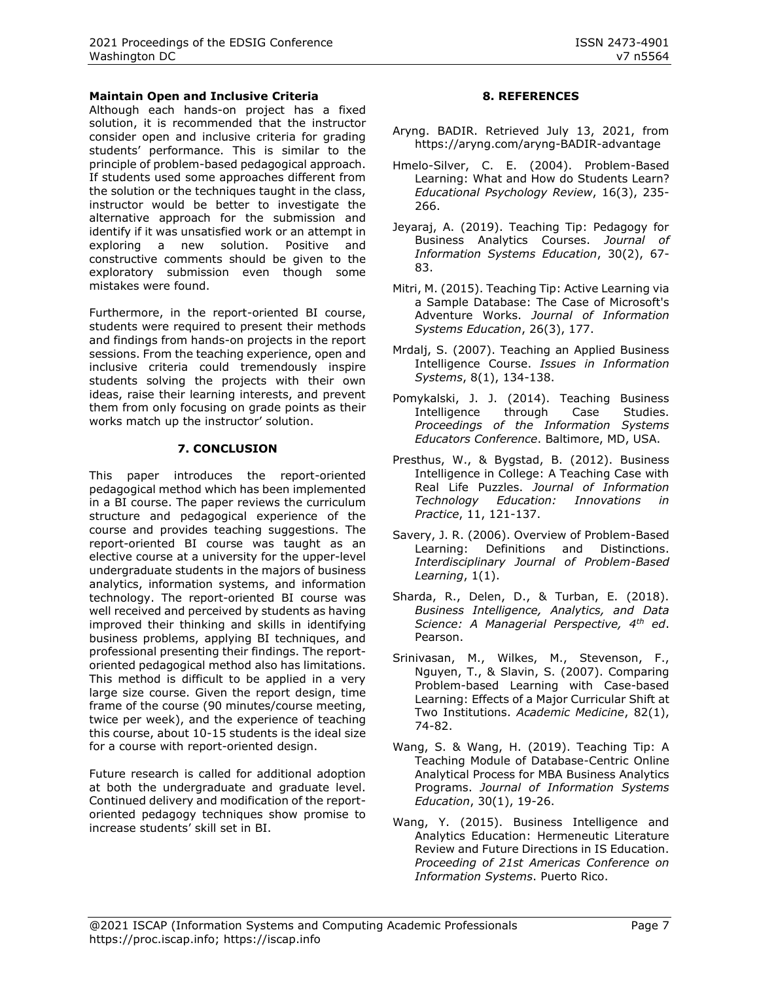#### **Maintain Open and Inclusive Criteria**

Although each hands-on project has a fixed solution, it is recommended that the instructor consider open and inclusive criteria for grading students' performance. This is similar to the principle of problem-based pedagogical approach. If students used some approaches different from the solution or the techniques taught in the class, instructor would be better to investigate the alternative approach for the submission and identify if it was unsatisfied work or an attempt in exploring a new solution. Positive and constructive comments should be given to the exploratory submission even though some mistakes were found.

Furthermore, in the report-oriented BI course, students were required to present their methods and findings from hands-on projects in the report sessions. From the teaching experience, open and inclusive criteria could tremendously inspire students solving the projects with their own ideas, raise their learning interests, and prevent them from only focusing on grade points as their works match up the instructor' solution.

#### **7. CONCLUSION**

This paper introduces the report-oriented pedagogical method which has been implemented in a BI course. The paper reviews the curriculum structure and pedagogical experience of the course and provides teaching suggestions. The report-oriented BI course was taught as an elective course at a university for the upper-level undergraduate students in the majors of business analytics, information systems, and information technology. The report-oriented BI course was well received and perceived by students as having improved their thinking and skills in identifying business problems, applying BI techniques, and professional presenting their findings. The reportoriented pedagogical method also has limitations. This method is difficult to be applied in a very large size course. Given the report design, time frame of the course (90 minutes/course meeting, twice per week), and the experience of teaching this course, about 10-15 students is the ideal size for a course with report-oriented design.

Future research is called for additional adoption at both the undergraduate and graduate level. Continued delivery and modification of the reportoriented pedagogy techniques show promise to increase students' skill set in BI.

#### **8. REFERENCES**

- Aryng. BADIR. Retrieved July 13, 2021, from https://aryng.com/aryng-BADIR-advantage
- Hmelo-Silver, C. E. (2004). Problem-Based Learning: What and How do Students Learn? *Educational Psychology Review*, 16(3), 235- 266.
- Jeyaraj, A. (2019). Teaching Tip: Pedagogy for Business Analytics Courses. *Journal of Information Systems Education*, 30(2), 67- 83.
- Mitri, M. (2015). Teaching Tip: Active Learning via a Sample Database: The Case of Microsoft's Adventure Works. *Journal of Information Systems Education*, 26(3), 177.
- Mrdalj, S. (2007). Teaching an Applied Business Intelligence Course. *Issues in Information Systems*, 8(1), 134-138.
- Pomykalski, J. J. (2014). Teaching Business Intelligence through Case Studies. *Proceedings of the Information Systems Educators Conference*. Baltimore, MD, USA.
- Presthus, W., & Bygstad, B. (2012). Business Intelligence in College: A Teaching Case with Real Life Puzzles. *Journal of Information Technology Education: Innovations in Practice*, 11, 121-137.
- Savery, J. R. (2006). Overview of Problem-Based Learning: Definitions and Distinctions. *Interdisciplinary Journal of Problem-Based Learning*, 1(1).
- Sharda, R., Delen, D., & Turban, E. (2018). *Business Intelligence, Analytics, and Data Science: A Managerial Perspective, 4th ed*. Pearson.
- Srinivasan, M., Wilkes, M., Stevenson, F., Nguyen, T., & Slavin, S. (2007). Comparing Problem-based Learning with Case-based Learning: Effects of a Major Curricular Shift at Two Institutions. *Academic Medicine*, 82(1), 74-82.
- Wang, S. & Wang, H. (2019). Teaching Tip: A Teaching Module of Database-Centric Online Analytical Process for MBA Business Analytics Programs. *Journal of Information Systems Education*, 30(1), 19-26.
- Wang, Y. (2015). Business Intelligence and Analytics Education: Hermeneutic Literature Review and Future Directions in IS Education. *Proceeding of 21st Americas Conference on Information Systems*. Puerto Rico.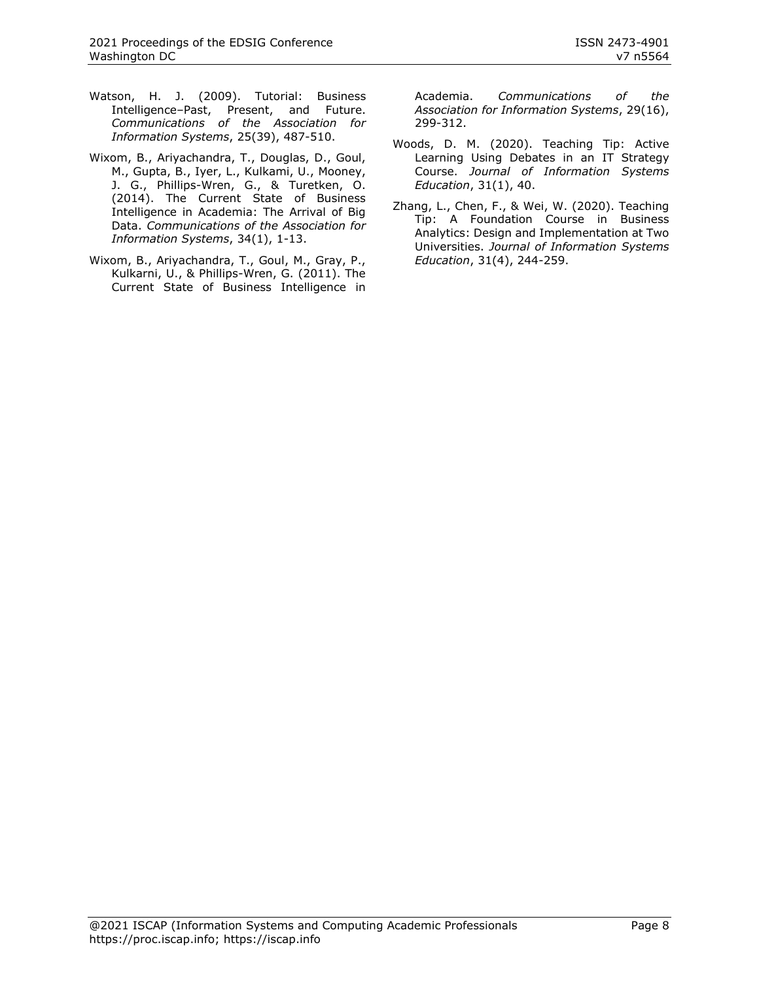- Watson, H. J. (2009). Tutorial: Business Intelligence–Past, Present, and Future. *Communications of the Association for Information Systems*, 25(39), 487-510.
- Wixom, B., Ariyachandra, T., Douglas, D., Goul, M., Gupta, B., Iyer, L., Kulkami, U., Mooney, J. G., Phillips-Wren, G., & Turetken, O. (2014). The Current State of Business Intelligence in Academia: The Arrival of Big Data. *Communications of the Association for Information Systems*, 34(1), 1-13.
- Wixom, B., Ariyachandra, T., Goul, M., Gray, P., Kulkarni, U., & Phillips-Wren, G. (2011). The Current State of Business Intelligence in

Academia. *Communications of the Association for Information Systems*, 29(16), 299-312.

- Woods, D. M. (2020). Teaching Tip: Active Learning Using Debates in an IT Strategy Course. *Journal of Information Systems Education*, 31(1), 40.
- Zhang, L., Chen, F., & Wei, W. (2020). Teaching Tip: A Foundation Course in Business Analytics: Design and Implementation at Two Universities. *Journal of Information Systems Education*, 31(4), 244-259.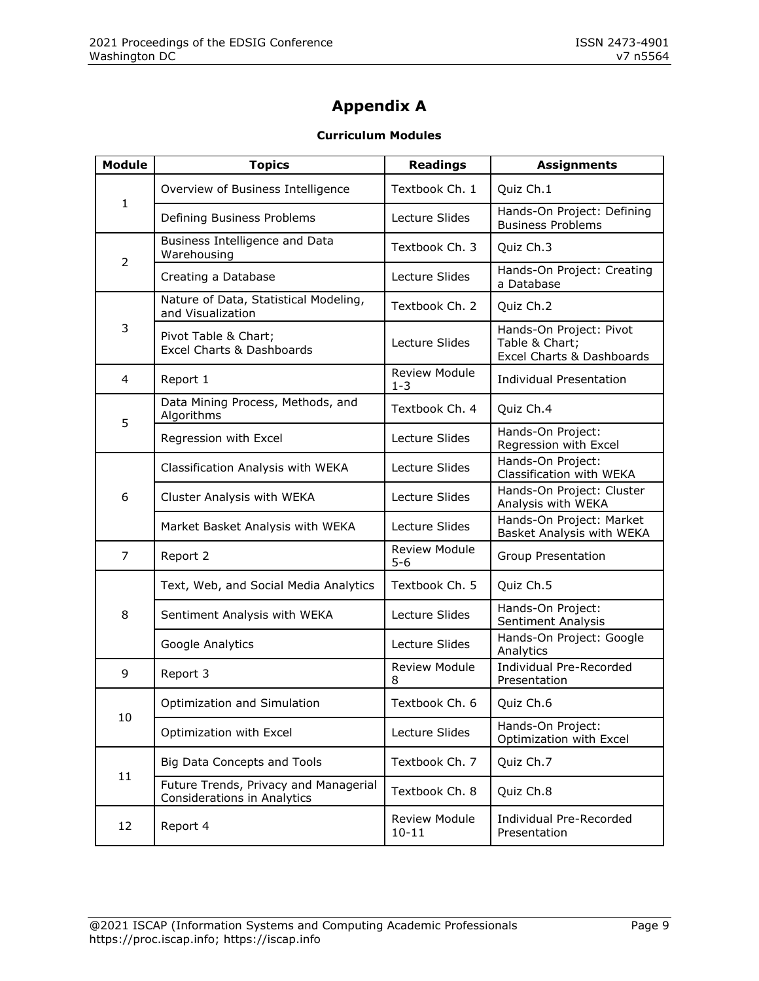# **Appendix A**

# **Curriculum Modules**

| <b>Module</b>  | <b>Topics</b>                                                        | <b>Readings</b>                              | <b>Assignments</b>                                                                                                                                                                                                                                                         |
|----------------|----------------------------------------------------------------------|----------------------------------------------|----------------------------------------------------------------------------------------------------------------------------------------------------------------------------------------------------------------------------------------------------------------------------|
| $\mathbf{1}$   | Overview of Business Intelligence                                    | Textbook Ch. 1                               | Quiz Ch.1                                                                                                                                                                                                                                                                  |
|                | Defining Business Problems                                           | Lecture Slides                               | Hands-On Project: Defining<br><b>Business Problems</b>                                                                                                                                                                                                                     |
| $\overline{2}$ | Business Intelligence and Data<br>Warehousing                        | Textbook Ch. 3                               | Quiz Ch.3                                                                                                                                                                                                                                                                  |
|                | Creating a Database                                                  | Lecture Slides                               | Hands-On Project: Creating<br>a Database                                                                                                                                                                                                                                   |
|                | Nature of Data, Statistical Modeling,<br>and Visualization           | Textbook Ch. 2                               | Quiz Ch.2                                                                                                                                                                                                                                                                  |
| 3              | Pivot Table & Chart;<br>Excel Charts & Dashboards                    | Lecture Slides                               | Hands-On Project: Pivot<br>Table & Chart;<br>Excel Charts & Dashboards                                                                                                                                                                                                     |
| 4              | Report 1                                                             | <b>Review Module</b><br>$1 - 3$              | <b>Individual Presentation</b>                                                                                                                                                                                                                                             |
| 5              | Data Mining Process, Methods, and<br>Algorithms                      | Textbook Ch. 4                               | Quiz Ch.4                                                                                                                                                                                                                                                                  |
|                | Regression with Excel                                                | Lecture Slides                               | Hands-On Project:<br>Regression with Excel                                                                                                                                                                                                                                 |
|                | Classification Analysis with WEKA                                    | Lecture Slides                               | Hands-On Project:<br>Classification with WEKA                                                                                                                                                                                                                              |
| 6              | Cluster Analysis with WEKA                                           | Lecture Slides                               | Hands-On Project: Cluster<br>Analysis with WEKA                                                                                                                                                                                                                            |
|                | Market Basket Analysis with WEKA                                     | Lecture Slides                               | Hands-On Project: Market<br>Basket Analysis with WEKA                                                                                                                                                                                                                      |
| 7              | Report 2                                                             | <b>Review Module</b><br>$5 - 6$              | Group Presentation                                                                                                                                                                                                                                                         |
|                | Text, Web, and Social Media Analytics                                | Textbook Ch. 5                               | Quiz Ch.5<br>Hands-On Project:<br>Sentiment Analysis<br>Hands-On Project: Google<br>Analytics<br>Individual Pre-Recorded<br>Presentation<br>Quiz Ch.6<br>Hands-On Project:<br>Optimization with Excel<br>Quiz Ch.7<br>Quiz Ch.8<br>Individual Pre-Recorded<br>Presentation |
| 8              | Sentiment Analysis with WEKA                                         | Lecture Slides                               |                                                                                                                                                                                                                                                                            |
|                | Google Analytics                                                     | Lecture Slides                               |                                                                                                                                                                                                                                                                            |
| 9              | Report 3                                                             | <b>Review Module</b><br>8                    |                                                                                                                                                                                                                                                                            |
|                | Optimization and Simulation                                          | Textbook Ch. 6                               |                                                                                                                                                                                                                                                                            |
| 10             | Optimization with Excel                                              | Lecture Slides                               |                                                                                                                                                                                                                                                                            |
| 11             | Big Data Concepts and Tools                                          | Textbook Ch. 7                               |                                                                                                                                                                                                                                                                            |
|                | Future Trends, Privacy and Managerial<br>Considerations in Analytics | Textbook Ch. 8<br>Review Module<br>$10 - 11$ |                                                                                                                                                                                                                                                                            |
| 12             | Report 4                                                             |                                              |                                                                                                                                                                                                                                                                            |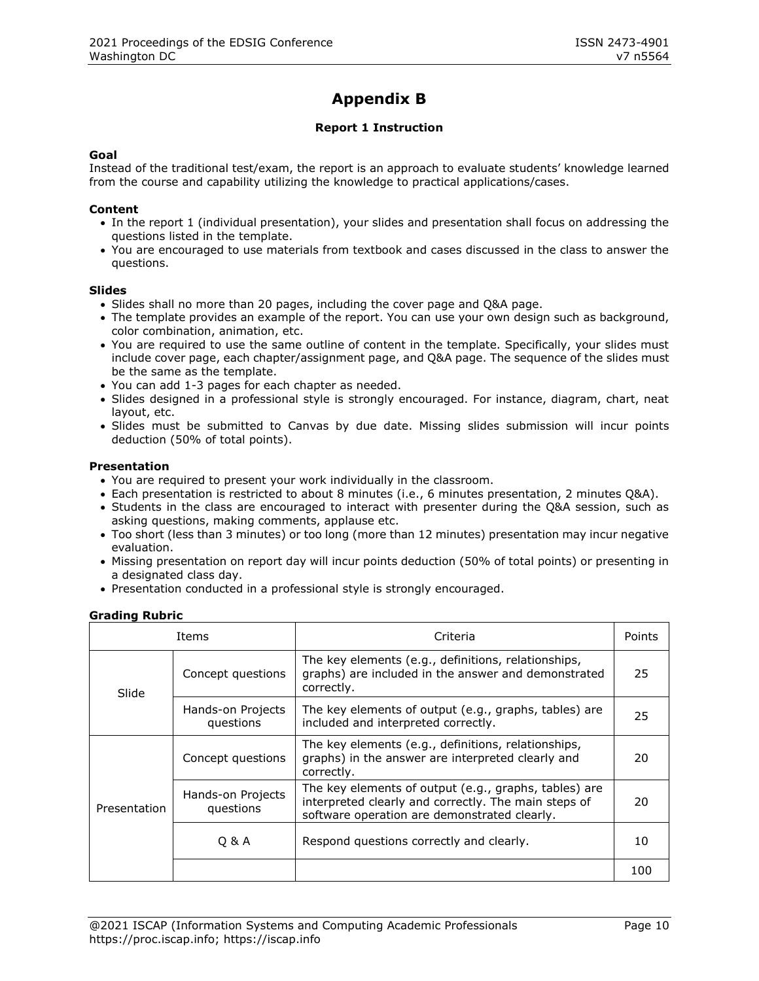# **Appendix B**

# **Report 1 Instruction**

#### **Goal**

Instead of the traditional test/exam, the report is an approach to evaluate students' knowledge learned from the course and capability utilizing the knowledge to practical applications/cases.

#### **Content**

- In the report 1 (individual presentation), your slides and presentation shall focus on addressing the questions listed in the template.
- You are encouraged to use materials from textbook and cases discussed in the class to answer the questions.

#### **Slides**

- Slides shall no more than 20 pages, including the cover page and Q&A page.
- The template provides an example of the report. You can use your own design such as background, color combination, animation, etc.
- You are required to use the same outline of content in the template. Specifically, your slides must include cover page, each chapter/assignment page, and Q&A page. The sequence of the slides must be the same as the template.
- You can add 1-3 pages for each chapter as needed.
- Slides designed in a professional style is strongly encouraged. For instance, diagram, chart, neat layout, etc.
- Slides must be submitted to Canvas by due date. Missing slides submission will incur points deduction (50% of total points).

#### **Presentation**

- You are required to present your work individually in the classroom.
- Each presentation is restricted to about 8 minutes (i.e., 6 minutes presentation, 2 minutes Q&A).
- Students in the class are encouraged to interact with presenter during the Q&A session, such as asking questions, making comments, applause etc.
- Too short (less than 3 minutes) or too long (more than 12 minutes) presentation may incur negative evaluation.
- Missing presentation on report day will incur points deduction (50% of total points) or presenting in a designated class day.
- Presentation conducted in a professional style is strongly encouraged.

#### **Grading Rubric**

| Items        |                                | Criteria                                                                                                                                                      | Points |
|--------------|--------------------------------|---------------------------------------------------------------------------------------------------------------------------------------------------------------|--------|
| Slide        | Concept questions              | The key elements (e.g., definitions, relationships,<br>graphs) are included in the answer and demonstrated<br>correctly.                                      | 25.    |
|              | Hands-on Projects<br>questions | The key elements of output (e.g., graphs, tables) are<br>included and interpreted correctly.                                                                  | 25     |
| Presentation | Concept questions              | The key elements (e.g., definitions, relationships,<br>graphs) in the answer are interpreted clearly and<br>correctly.                                        | 20     |
|              | Hands-on Projects<br>questions | The key elements of output (e.g., graphs, tables) are<br>interpreted clearly and correctly. The main steps of<br>software operation are demonstrated clearly. | 20     |
|              | 0 & A                          | Respond questions correctly and clearly.                                                                                                                      | 10     |
|              |                                |                                                                                                                                                               | 100    |